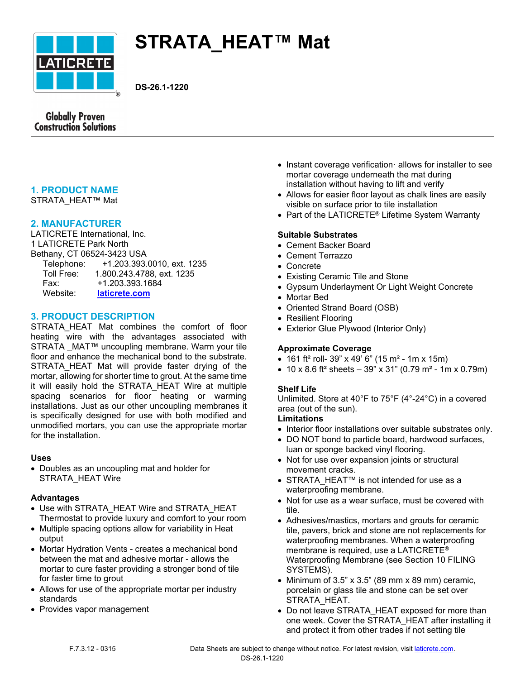

# **STRATA\_HEAT™ Mat**

**DS-26.1-1220**



# **1. PRODUCT NAME**

STRATA\_HEAT™ Mat

## **2. MANUFACTURER**

LATICRETE International, Inc. 1 LATICRETE Park North Bethany, CT 06524-3423 USA Telephone: +1.203.393.0010, ext. 1235<br>Toll Free: 1.800.243.4788, ext. 1235 Toll Free: 1.800.243.4788, ext. 1235

| .        |                 |
|----------|-----------------|
| Fax:     | +1.203.393.1684 |
| Website: | laticrete.com   |

# **3. PRODUCT DESCRIPTION**

STRATA HEAT Mat combines the comfort of floor heating wire with the advantages associated with STRATA MAT™ uncoupling membrane. Warm your tile floor and enhance the mechanical bond to the substrate. STRATA HEAT Mat will provide faster drying of the mortar, allowing for shorter time to grout. At the same time it will easily hold the STRATA\_HEAT Wire at multiple spacing scenarios for floor heating or warming installations. Just as our other uncoupling membranes it is specifically designed for use with both modified and unmodified mortars, you can use the appropriate mortar for the installation.

## **Uses**

 Doubles as an uncoupling mat and holder for STRATA\_HEAT Wire

## **Advantages**

- Use with STRATA\_HEAT Wire and STRATA\_HEAT Thermostat to provide luxury and comfort to your room
- Multiple spacing options allow for variability in Heat output
- Mortar Hydration Vents creates a mechanical bond between the mat and adhesive mortar - allows the mortar to cure faster providing a stronger bond of tile for faster time to grout
- Allows for use of the appropriate mortar per industry standards
- Provides vapor management
- $\bullet$  Instant coverage verification $\cdot$  allows for installer to see mortar coverage underneath the mat during installation without having to lift and verify
- Allows for easier floor layout as chalk lines are easily visible on surface prior to tile installation
- Part of the LATICRETE<sup>®</sup> Lifetime System Warranty

## **Suitable Substrates**

- Cement Backer Board
- Cement Terrazzo
- Concrete
- Existing Ceramic Tile and Stone
- Gypsum Underlayment Or Light Weight Concrete
- Mortar Bed
- Oriented Strand Board (OSB)
- Resilient Flooring
- Exterior Glue Plywood (Interior Only)

## **Approximate Coverage**

- 161 ft<sup>2</sup> roll- 39" x 49' 6" (15 m<sup>2</sup> 1m x 15m)
- 10 x 8.6 ft<sup>2</sup> sheets  $-39$ " x 31" (0.79 m<sup>2</sup> 1m x 0.79m)

## **Shelf Life**

Unlimited. Store at 40°F to 75°F (4°-24°C) in a covered area (out of the sun).

## **Limitations**

- Interior floor installations over suitable substrates only.
- DO NOT bond to particle board, hardwood surfaces, luan or sponge backed vinyl flooring.
- Not for use over expansion joints or structural movement cracks.
- STRATA HEAT™ is not intended for use as a waterproofing membrane.
- Not for use as a wear surface, must be covered with tile.
- Adhesives/mastics, mortars and grouts for ceramic tile, pavers, brick and stone are not replacements for waterproofing membranes. When a waterproofing membrane is required, use a LATICRETE® Waterproofing Membrane (see Section 10 FILING SYSTEMS).
- Minimum of  $3.5$ " x  $3.5$ " (89 mm x 89 mm) ceramic, porcelain or glass tile and stone can be set over STRATA\_HEAT.
- Do not leave STRATA\_HEAT exposed for more than one week. Cover the STRATA\_HEAT after installing it and protect it from other trades if not setting tile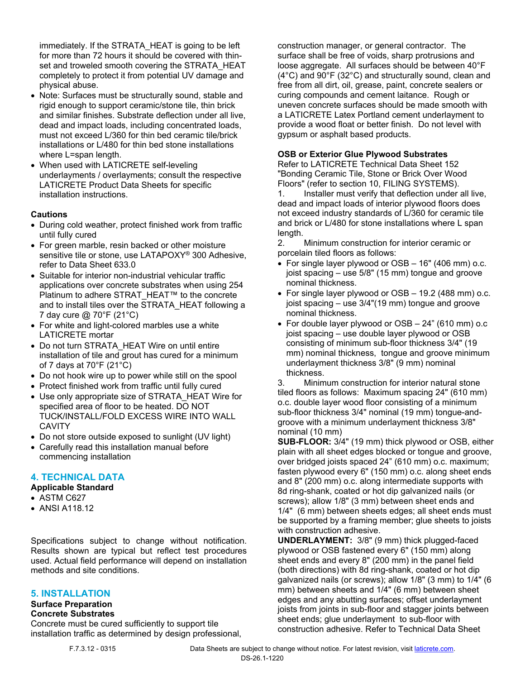immediately. If the STRATA\_HEAT is going to be left for more than 72 hours it should be covered with thinset and troweled smooth covering the STRATA\_HEAT completely to protect it from potential UV damage and physical abuse.

- Note: Surfaces must be structurally sound, stable and rigid enough to support ceramic/stone tile, thin brick and similar finishes. Substrate deflection under all live, dead and impact loads, including concentrated loads, must not exceed L/360 for thin bed ceramic tile/brick installations or L/480 for thin bed stone installations where L=span length.
- When used with LATICRETE self-leveling underlayments / overlayments; consult the respective LATICRETE Product Data Sheets for specific installation instructions.

### **Cautions**

- During cold weather, protect finished work from traffic until fully cured
- For green marble, resin backed or other moisture sensitive tile or stone, use LATAPOXY® 300 Adhesive, refer to Data Sheet 633.0
- Suitable for interior non-industrial vehicular traffic applications over concrete substrates when using 254 Platinum to adhere STRAT\_HEAT™ to the concrete and to install tiles over the STRATA\_HEAT following a 7 day cure @ 70°F (21°C)
- For white and light-colored marbles use a white LATICRETE mortar
- Do not turn STRATA\_HEAT Wire on until entire installation of tile and grout has cured for a minimum of 7 days at 70°F (21°C)
- Do not hook wire up to power while still on the spool
- Protect finished work from traffic until fully cured
- Use only appropriate size of STRATA\_HEAT Wire for specified area of floor to be heated. DO NOT TUCK/INSTALL/FOLD EXCESS WIRE INTO WALL **CAVITY**
- Do not store outside exposed to sunlight (UV light)
- Carefully read this installation manual before commencing installation

## **4. TECHNICAL DATA**

## **Applicable Standard**

- ASTM C627
- ANSI A118.12

Specifications subject to change without notification. Results shown are typical but reflect test procedures used. Actual field performance will depend on installation methods and site conditions.

#### **5. INSTALLATION**

## **Surface Preparation**

#### **Concrete Substrates**

Concrete must be cured sufficiently to support tile installation traffic as determined by design professional, construction manager, or general contractor. The surface shall be free of voids, sharp protrusions and loose aggregate. All surfaces should be between 40°F (4°C) and 90°F (32°C) and structurally sound, clean and free from all dirt, oil, grease, paint, concrete sealers or curing compounds and cement laitance. Rough or uneven concrete surfaces should be made smooth with a LATICRETE Latex Portland cement underlayment to provide a wood float or better finish. Do not level with gypsum or asphalt based products.

## **OSB or Exterior Glue Plywood Substrates**

Refer to LATICRETE Technical Data Sheet 152 "Bonding Ceramic Tile, Stone or Brick Over Wood Floors" (refer to section 10, FILING SYSTEMS).

1. Installer must verify that deflection under all live, dead and impact loads of interior plywood floors does not exceed industry standards of L/360 for ceramic tile and brick or L/480 for stone installations where L span length.

2. Minimum construction for interior ceramic or porcelain tiled floors as follows:

- For single layer plywood or OSB 16" (406 mm) o.c. joist spacing – use 5/8" (15 mm) tongue and groove nominal thickness.
- For single layer plywood or OSB 19.2 (488 mm) o.c. joist spacing – use 3/4"(19 mm) tongue and groove nominal thickness.
- For double layer plywood or OSB 24" (610 mm) o.c joist spacing – use double layer plywood or OSB consisting of minimum sub-floor thickness 3/4" (19 mm) nominal thickness, tongue and groove minimum underlayment thickness 3/8" (9 mm) nominal thickness.

3. Minimum construction for interior natural stone tiled floors as follows: Maximum spacing 24" (610 mm) o.c. double layer wood floor consisting of a minimum sub-floor thickness 3/4" nominal (19 mm) tongue-andgroove with a minimum underlayment thickness 3/8" nominal (10 mm)

**SUB-FLOOR:** 3/4" (19 mm) thick plywood or OSB, either plain with all sheet edges blocked or tongue and groove, over bridged joists spaced 24" (610 mm) o.c. maximum; fasten plywood every 6" (150 mm) o.c. along sheet ends and 8" (200 mm) o.c. along intermediate supports with 8d ring-shank, coated or hot dip galvanized nails (or screws); allow 1/8" (3 mm) between sheet ends and 1/4" (6 mm) between sheets edges; all sheet ends must be supported by a framing member; glue sheets to joists with construction adhesive.

**UNDERLAYMENT:** 3/8" (9 mm) thick plugged-faced plywood or OSB fastened every 6" (150 mm) along sheet ends and every 8" (200 mm) in the panel field (both directions) with 8d ring-shank, coated or hot dip galvanized nails (or screws); allow 1/8" (3 mm) to 1/4" (6 mm) between sheets and 1/4" (6 mm) between sheet edges and any abutting surfaces; offset underlayment joists from joints in sub-floor and stagger joints between sheet ends; glue underlayment to sub-floor with construction adhesive. Refer to Technical Data Sheet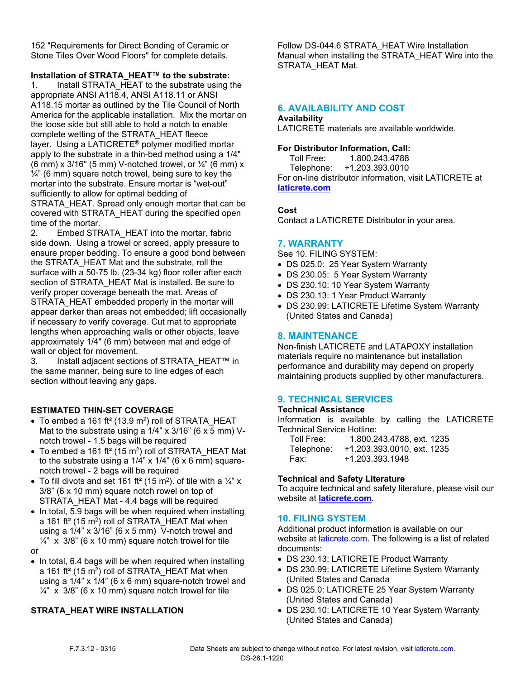152 "Requirements for Direct Bonding of Ceramic or Stone Tiles Over Wood Floors" for complete details.

**Installation of STRATA\_HEAT™ to the substrate:**

1. Install STRATA HEAT to the substrate using the appropriate ANSI A118.4, ANSI A118.11 or ANSI A118.15 mortar as outlined by the Tile Council of North America for the applicable installation. Mix the mortar on the loose side but still able to hold a notch to enable complete wetting of the STRATA\_HEAT fleece layer. Using a LATICRETE® polymer modified mortar apply to the substrate in a thin-bed method using a 1/4" (6 mm) x 3/16" (5 mm) V-notched trowel, or  $\frac{1}{4}$ " (6 mm) x  $\frac{1}{4}$ " (6 mm) square notch trowel, being sure to key the mortar into the substrate. Ensure mortar is "wet-out" sufficiently to allow for optimal bedding of STRATA\_HEAT. Spread only enough mortar that can be covered with STRATA\_HEAT during the specified open time of the mortar.

2. Embed STRATA\_HEAT into the mortar, fabric side down. Using a trowel or screed, apply pressure to ensure proper bedding. To ensure a good bond between the STRATA\_HEAT Mat and the substrate, roll the surface with a 50-75 lb. (23-34 kg) floor roller after each section of STRATA\_HEAT Mat is installed. Be sure to verify proper coverage beneath the mat. Areas of STRATA\_HEAT embedded properly in the mortar will appear darker than areas not embedded; lift occasionally if necessary *to* verify coverage. Cut mat to appropriate lengths when approaching walls or other objects, leave approximately 1/4" (6 mm) between mat and edge of wall or object for movement.

3. Install adjacent sections of STRATA\_HEAT™ in the same manner, being sure to line edges of each section without leaving any gaps.

## **ESTIMATED THIN-SET COVERAGE**

- $\bullet$  To embed a 161 ft<sup>2</sup> (13.9 m<sup>2</sup>) roll of STRATA\_HEAT Mat to the substrate using a  $1/4$ " x  $3/16$ " (6 x 5 mm) Vnotch trowel - 1.5 bags will be required
- $\bullet~$  To embed a 161 ft $^2$  (15 m $^2$ ) roll of STRATA\_HEAT Mat to the substrate using a  $1/4$ " x  $1/4$ " (6 x 6 mm) squarenotch trowel - 2 bags will be required
- $\bullet~$  To fill divots and set 161 ft² (15 m²). of tile with a  $\frac{1}{4}$ " x 3/8" (6 x 10 mm) square notch rowel on top of STRATA\_HEAT Mat - 4.4 bags will be required
- In total, 5.9 bags will be when required when installing a 161 ft<sup>2</sup> (15 m<sup>2</sup>) roll of STRATA\_HEAT Mat when using a 1/4" x 3/16" (6 x 5 mm) V-notch trowel and  $\frac{1}{4}$ " x 3/8" (6 x 10 mm) square notch trowel for tile or
- In total, 6.4 bags will be when required when installing a 161 ft<sup>2</sup> (15 m<sup>2</sup>) roll of STRATA\_HEAT Mat when using a 1/4" x 1/4" (6 x 6 mm) square-notch trowel and  $\frac{1}{4}$ " x 3/8" (6 x 10 mm) square notch trowel for tile

## **STRATA\_HEAT WIRE INSTALLATION**

Follow DS-044.6 STRATA\_HEAT Wire Installation Manual when installing the STRATA\_HEAT Wire into the STRATA\_HEAT Mat.

## **6. AVAILABILITY AND COST**

## **Availability**

LATICRETE materials are available worldwide.

## **For Distributor Information, Call:**

 Toll Free: 1.800.243.4788 Telephone: +1.203.393.0010 For on-line distributor information, visit LATICRETE at **[laticrete.com](https://laticrete.com/)**

## **Cost**

Contact a LATICRETE Distributor in your area.

## **7. WARRANTY**

See 10. FILING SYSTEM:

- DS 025.0: 25 Year System Warranty
- DS 230.05: 5 Year System Warranty
- DS 230.10: 10 Year System Warranty
- DS 230.13: 1 Year Product Warranty
- DS 230.99: LATICRETE Lifetime System Warranty (United States and Canada)

## **8. MAINTENANCE**

Non-finish LATICRETE and LATAPOXY installation materials require no maintenance but installation performance and durability may depend on properly maintaining products supplied by other manufacturers.

## **9. TECHNICAL SERVICES**

#### **Technical Assistance**

Information is available by calling the LATICRETE Technical Service Hotline:

| Toll Free: | 1.800.243.4788, ext. 1235  |
|------------|----------------------------|
| Telephone: | +1.203.393.0010. ext. 1235 |
| Fax:       | +1.203.393.1948            |

## **Technical and Safety Literature**

To acquire technical and safety literature, please visit our website at **[laticrete.com](https://laticrete.com/).**

## **10. FILING SYSTEM**

Additional product information is available on our website at *[laticrete.com](https://laticrete.com/).* The following is a list of related documents:

- DS 230.13: LATICRETE Product Warranty
- DS 230.99: LATICRETE Lifetime System Warranty (United States and Canada
- DS 025.0: LATICRETE 25 Year System Warranty (United States and Canada)
- DS 230.10: LATICRETE 10 Year System Warranty (United States and Canada)